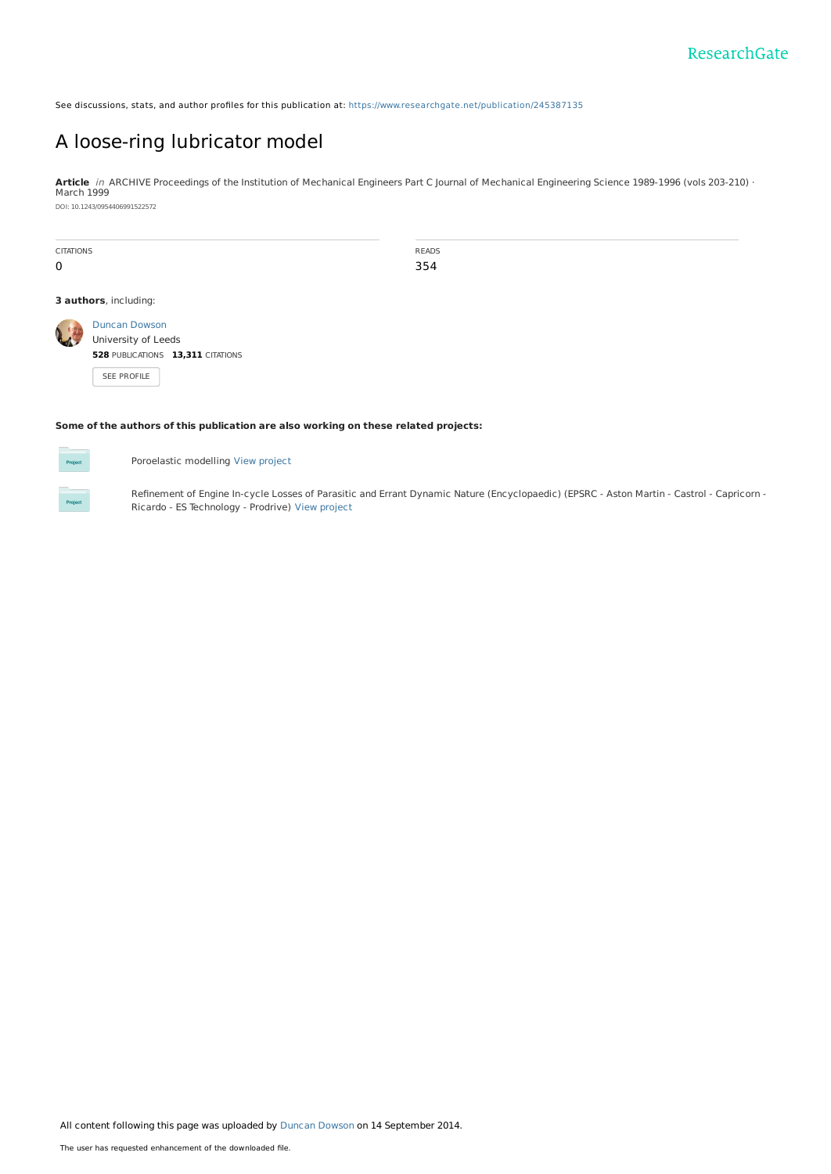See discussions, stats, and author profiles for this publication at: [https://www.researchgate.net/publication/245387135](https://www.researchgate.net/publication/245387135_A_loose-ring_lubricator_model?enrichId=rgreq-e5246d7c0fa2c6c6551f3605868f7afd-XXX&enrichSource=Y292ZXJQYWdlOzI0NTM4NzEzNTtBUzoxNDEzNTY4Njk2MjM4MDhAMTQxMDcxMzUxMjc2Ng%3D%3D&el=1_x_2&_esc=publicationCoverPdf)

# A [loose-ring](https://www.researchgate.net/publication/245387135_A_loose-ring_lubricator_model?enrichId=rgreq-e5246d7c0fa2c6c6551f3605868f7afd-XXX&enrichSource=Y292ZXJQYWdlOzI0NTM4NzEzNTtBUzoxNDEzNTY4Njk2MjM4MDhAMTQxMDcxMzUxMjc2Ng%3D%3D&el=1_x_3&_esc=publicationCoverPdf) lubricator model

**Article** in ARCHIVE Proceedings of the Institution of Mechanical Engineers Part C Journal of Mechanical Engineering Science 1989-1996 (vols 203-210) · March 1999 DOI: 10.1243/0954406991522572

| <b>CITATIONS</b><br>0 |                                                                                                 | READS<br>354 |
|-----------------------|-------------------------------------------------------------------------------------------------|--------------|
|                       | 3 authors, including:                                                                           |              |
|                       | <b>Duncan Dowson</b><br>University of Leeds<br>528 PUBLICATIONS 13,311 CITATIONS<br>SEE PROFILE |              |

### **Some of the authors of this publication are also working on these related projects:**



Poroelastic modelling View [project](https://www.researchgate.net/project/Poroelastic-modelling?enrichId=rgreq-e5246d7c0fa2c6c6551f3605868f7afd-XXX&enrichSource=Y292ZXJQYWdlOzI0NTM4NzEzNTtBUzoxNDEzNTY4Njk2MjM4MDhAMTQxMDcxMzUxMjc2Ng%3D%3D&el=1_x_9&_esc=publicationCoverPdf)

Refinement of Engine In-cycle Losses of Parasitic and Errant Dynamic Nature (Encyclopaedic) (EPSRC - Aston Martin - Castrol - Capricorn - Ricardo - ES Technology - Prodrive) View [project](https://www.researchgate.net/project/Refinement-of-Engine-In-cycle-Losses-of-Parasitic-and-Errant-Dynamic-Nature-Encyclopaedic-EPSRC-Aston-Martin-Castrol-Capricorn-Ricardo-ES-Technology-Prodrive?enrichId=rgreq-e5246d7c0fa2c6c6551f3605868f7afd-XXX&enrichSource=Y292ZXJQYWdlOzI0NTM4NzEzNTtBUzoxNDEzNTY4Njk2MjM4MDhAMTQxMDcxMzUxMjc2Ng%3D%3D&el=1_x_9&_esc=publicationCoverPdf)

All content following this page was uploaded by Duncan [Dowson](https://www.researchgate.net/profile/Duncan_Dowson?enrichId=rgreq-e5246d7c0fa2c6c6551f3605868f7afd-XXX&enrichSource=Y292ZXJQYWdlOzI0NTM4NzEzNTtBUzoxNDEzNTY4Njk2MjM4MDhAMTQxMDcxMzUxMjc2Ng%3D%3D&el=1_x_10&_esc=publicationCoverPdf) on 14 September 2014.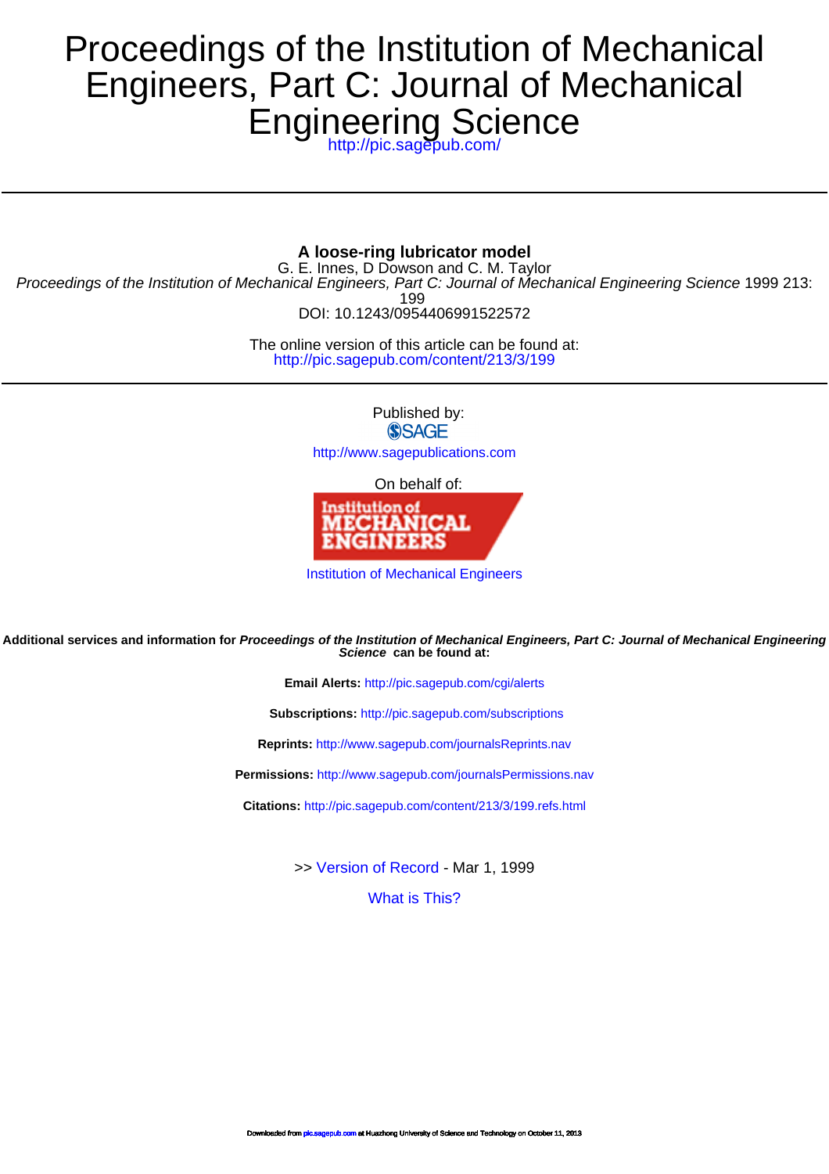# Engineering Science Engineers, Part C: Journal of Mechanical Proceedings of the Institution of Mechanical

<http://pic.sagepub.com/>

# **A loose-ring lubricator model**

DOI: 10.1243/0954406991522572 199 Proceedings of the Institution of Mechanical Engineers, Part C: Journal of Mechanical Engineering Science 1999 213: G. E. Innes, D Dowson and C. M. Taylor

> <http://pic.sagepub.com/content/213/3/199> The online version of this article can be found at:

> > Published by: **SSAGE**

<http://www.sagepublications.com>

On behalf of:



[Institution of Mechanical Engineers](http://www.imeche.org/home)

**Science can be found at: Additional services and information for Proceedings of the Institution of Mechanical Engineers, Part C: Journal of Mechanical Engineering**

**Email Alerts:** <http://pic.sagepub.com/cgi/alerts>

**Subscriptions:** <http://pic.sagepub.com/subscriptions>

**Reprints:** <http://www.sagepub.com/journalsReprints.nav>

**Permissions:** <http://www.sagepub.com/journalsPermissions.nav>

**Citations:** <http://pic.sagepub.com/content/213/3/199.refs.html>

>> [Version of Record -](http://pic.sagepub.com/content/213/3/199.full.pdf) Mar 1, 1999

[What is This?](http://online.sagepub.com/site/sphelp/vorhelp.xhtml)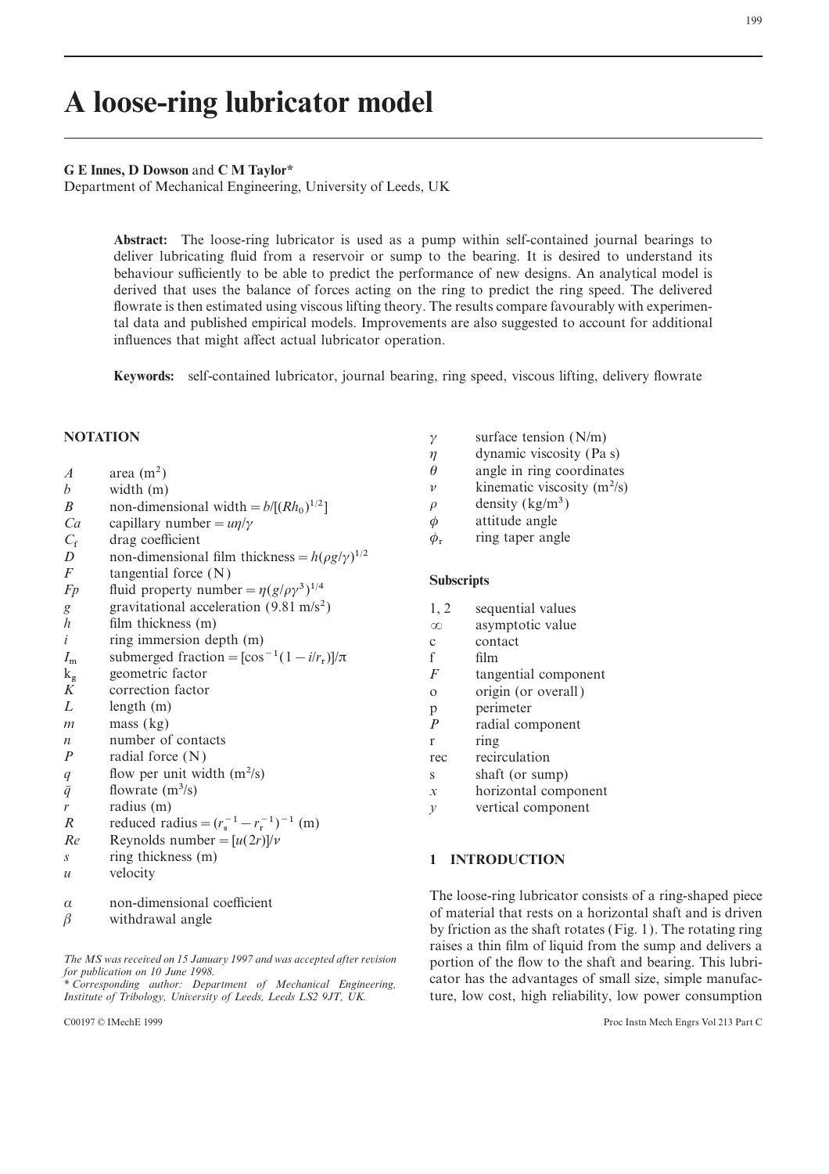# **A loose-ring lubricator model**

### **G E Innes, D Dowson** and **C M Taylor\***

Department of Mechanical Engineering, University of Leeds, UK

**Abstract:** The loose-ring lubricator is used as a pump within self-contained journal bearings to deliver lubricating fluid from a reservoir or sump to the bearing. It is desired to understand its behaviour sufficiently to be able to predict the performance of new designs. An analytical model is derived that uses the balance of forces acting on the ring to predict the ring speed. The delivered flowrate is then estimated using viscous lifting theory. The results compare favourably with experimental data and published empirical models. Improvements are also suggested to account for additional influences that might affect actual lubricator operation.

**Keywords:** self-contained lubricator, journal bearing, ring speed, viscous lifting, delivery flowrate

- 
- 
- *b* width (m)  $p$  kinematic viscosity (m<sup>2</sup>/s)<br> *B* non-dimensional width  $= b/[Rh_0]^{1/2}$   $\rho$  density (kg/m<sup>3</sup>) *B* non-dimensional width =  $b/[(Rh_0)^{1/2}]$   $\rho$  density (kg/m<sup>3</sup>) <br> *Ca* capillary number =  $u\eta/\gamma$   $\phi$  attitude angle
- *Ca* capillary number =  $u\eta/\gamma$   $\phi$  attitude angle<br> *C<sub>f</sub>* drag coefficient  $\phi_r$  ring taper angle
- 
- $C_f$  drag coefficient  $D$  non-dimensional film thickness =  $h(\rho g/\gamma)^{1/2}$ <br> *F* tangential force (N)
- 
- *F* tangential force (N)<br> *Fp* fluid property number =  $\eta(g/\rho\gamma^3)^{1/4}$ <br> *g* gravitational acceleration (9.81 m/s<sup>2</sup>) 1, 2 sequential values
- *g* gravitational acceleration (9.81 m/s<sup>2</sup>) 1, 2 sequential values film thickness (m)  $\infty$  asymptotic value
- *film thickness* (m)
- *i* ring immersion depth (m) c contact
- $I_{\rm m}$ m submerged fraction= $[\cos^{-1}(1-i/r)]$ <br>geometric factor
- $k_{\rm g}$
- *K* correction factor **o** origin (or overall)
- *L* length (m) p perimeter
- 
- *n* number of contacts r ring<br> *P* radial force (N) rec recir
- 
- *q* flow per unit width  $(m^2/s)$  s shaft (or sump)<br> *q* flowrate  $(m^3/s)$  s shaft (or sump)<br> *x* horizontal comp
- 
- 
- *R* reduced radius =  $(r_s^{-1} r_r^{-1})^{-1}$  (m)<br> *Re* Reynolds number =  $[u(2r)]/v$ <br> *s* ring thickness (m)
- *Re* Reynolds number =  $[u(2r)]/v$ <br>*s* ring thickness (m)
- 
- *u* velocity
- 
- 

- **NOTATION**  $\gamma$  surface tension (N/m)<br> $\eta$  dynamic viscosity (Pa
	- $\eta$  dynamic viscosity (Pa s)<br>  $\theta$  angle in ring coordinates
	-
- *A* area (m<sup>2</sup>)  $\theta$  angle in ring coordinates<br> *b* width (m)  $\theta$  kinematic viscosity (m<sup>2</sup>/s)
	-
	-
	-

- 
- 
- 
- $\int$ / $\pi$  f film
- g geometric factor *F* tangential component<br>Correction factor of the correction factor of the correction factor of the correction of the correction of the correction of the correction of the correction of the correction of
	-
	-
- *m* mass (kg) *P* radial component
	-
	- *P* radial force (N) rec recirculation
		-
- *q*: flowrate (m<sup>3</sup>/s)  $x$  horizontal component radius (m)  $y$  vertical component
	- *vertical* component

# **1 INTRODUCTION**

The loose-ring lubricator consists of a ring-shaped piece  $\alpha$  non-dimensional coefficient of material that rests on a horizontal shaft and is driven of material that rests on a horizontal shaft and is driven by friction as the shaft rotates (Fig. 1). The rotating ring raises a thin film of liquid from the sump and delivers a The MS was received on 15 January 1997 and was accepted after revision<br>for publication on 10 June 1998.<br>\* Corresponding author: Department of Mechanical Engineering,<br>ture, low cost, high reliability, low power consumption<br> *Institute, low cost, high reliability, low power consumption*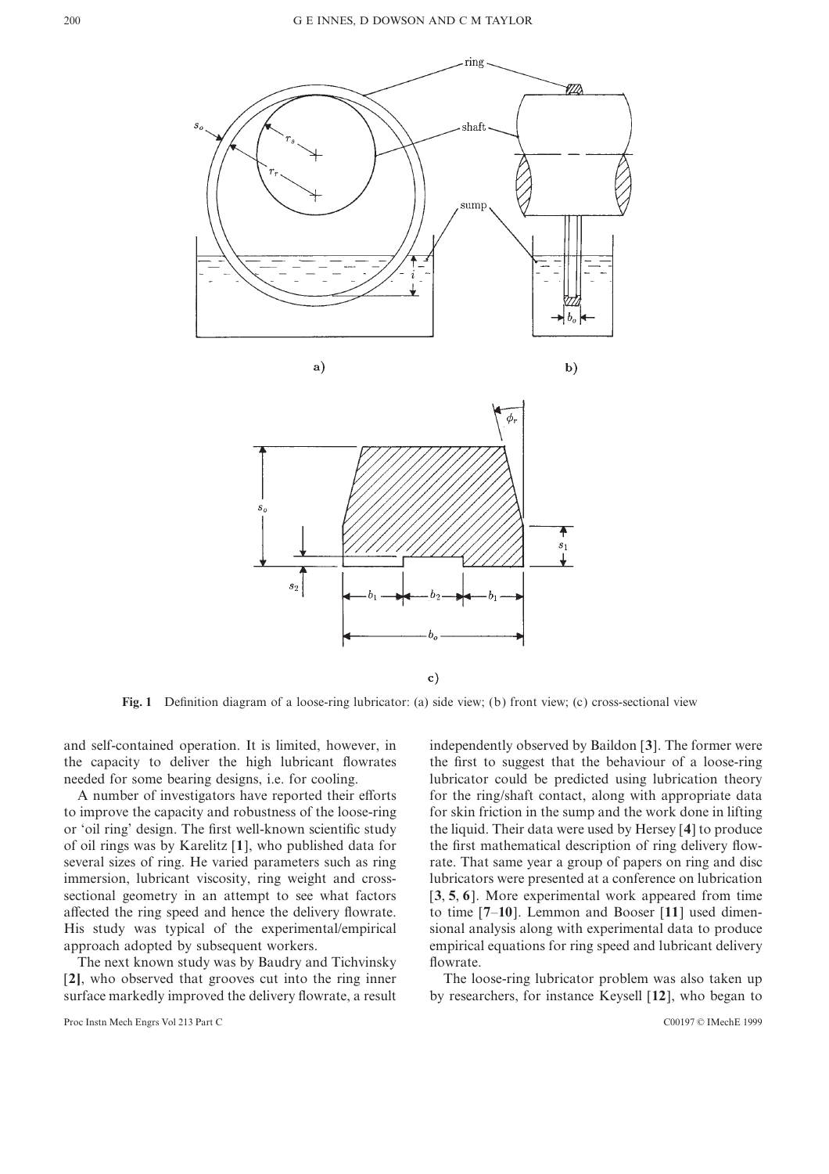

 $\mathbf{c})$ 

**Fig. 1** Definition diagram of a loose-ring lubricator: (a) side view; (b) front view; (c) cross-sectional view

and self-contained operation. It is limited, however, in independently observed by Baildon [**3**]. The former were the capacity to deliver the high lubricant flowrates the first to suggest that the behaviour of a loose-ring needed for some bearing designs, i.e. for cooling. Interval using the predicted using lubrication theory

to improve the capacity and robustness of the loose-ring for skin friction in the sump and the work done in lifting or 'oil ring' design. The first well-known scientific study the liquid. Their data were used by Hersey [**4**] to produce of oil rings was by Karelitz [**1**], who published data for the first mathematical description of ring delivery flowseveral sizes of ring. He varied parameters such as ring rate. That same year a group of papers on ring and disc immersion, lubricant viscosity, ring weight and cross- lubricators were presented at a conference on lubrication sectional geometry in an attempt to see what factors [**3**, **5**, **6** ]. More experimental work appeared from time affected the ring speed and hence the delivery flowrate. to time [**7**–**10**]. Lemmon and Booser [**11**] used dimen-His study was typical of the experimental/empirical sional analysis along with experimental data to produce approach adopted by subsequent workers. empirical equations for ring speed and lubricant delivery

The next known study was by Baudry and Tichvinsky flowrate. [**2]**, who observed that grooves cut into the ring inner The loose-ring lubricator problem was also taken up surface markedly improved the delivery flowrate, a result by researchers, for instance Keysell [**12**], who began to

Proc Instn Mech Engrs Vol 213 Part C C00197 © IMechE 1999

A number of investigators have reported their efforts for the ring/shaft contact, along with appropriate data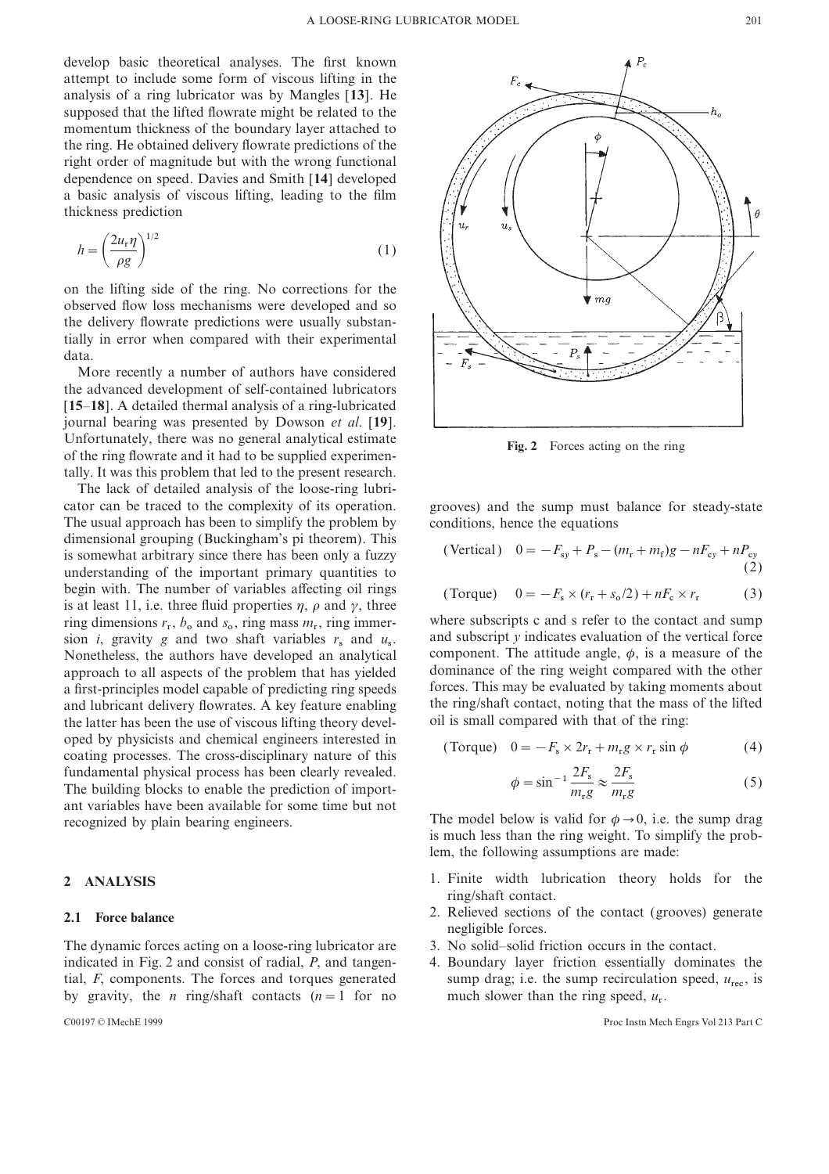develop basic theoretical analyses. The first known attempt to include some form of viscous lifting in the analysis of a ring lubricator was by Mangles [**13**]. He supposed that the lifted flowrate might be related to the momentum thickness of the boundary layer attached to the ring. He obtained delivery flowrate predictions of the right order of magnitude but with the wrong functional dependence on speed. Davies and Smith [**14**] developed a basic analysis of viscous lifting, leading to the film thickness prediction

$$
h = \left(\frac{2u_{\rm r}\eta}{\rho g}\right)^{1/2} \tag{1}
$$

on the lifting side of the ring. No corrections for the observed flow loss mechanisms were developed and so the delivery flowrate predictions were usually substantially in error when compared with their experimental data.

More recently a number of authors have considered the advanced development of self-contained lubricators [**15**–**18**]. A detailed thermal analysis of a ring-lubricated journal bearing was presented by Dowson *et al*. [**19**]. Unfortunately, there was no general analytical estimate **Fig. 2** Forces acting on the ring of the ring flowrate and it had to be supplied experimentally. It was this problem that led to the present research.

The lack of detailed analysis of the loose-ring lubricator can be traced to the complexity of its operation. grooves) and the sump must balance for steady-state The usual approach has been to simplify the problem by conditions, hence the equations dimensional grouping (Buckingham's pi theorem). This is somewhat arbitrary since there has been only a fuzzy understanding of the important primary quantities to begin with. The number of variables affecting oil rings (Forque) 0. is at least 11, i.e. three fluid properties  $\eta$ ,  $\rho$  and  $\gamma$ , three ring dimensions  $r_r$ ,  $b_o$  and  $s_o$ , ring mass  $m_r$ , ring immer-<br>where subscripts c and s refer to the contact and sump a first-principles model capable of predicting ring speeds. the latter has been the use of viscous lifting theory developed by physicists and chemical engineers interested in coating processes. The cross-disciplinary nature of this fundamental physical process has been clearly revealed. ant variables have been available for some time but not<br>
The model below is valid for  $\phi \rightarrow 0$ , i.e. the sump drag<br>
is much less than the ring weight. To simplify the prob-The building blocks to enable the prediction of important variables have been available for some time but not

The dynamic forces acting on a loose-ring lubricator are 3. No solid–solid friction occurs in the contact. indicated in Fig. 2 and consist of radial, *P*, and tangen- 4. Boundary layer friction essentially dominates the tial, *F*, components. The forces and torques generated sump drag; i.e. the sump recirculation speed,  $u_{\text{rec}}$ , is by gravity, the *n* ring/shaft contacts (*n* = 1 for no much slower than the ring speed,  $u_r$ .



(Vertical) 
$$
0 = -F_{sy} + P_s - (m_r + m_f)g - nF_{cy} + nP_{cy}
$$
\n(2)

$$
(Torque) \t 0 = -Fs \times (rr + so/2) + nFc \times rr \t (3)
$$

de refer to the con ring dimensions  $r_r$ ,  $b_o$  and  $s_o$ , ring mass  $m_r$ , ring immer-<br>sion *i*, gravity *g* and two shaft variables  $r_s$  and  $u_s$ .<br>Nonetheless, the authors have developed an analytical component. The attitude angle,  $\phi$ , is a Nonetheless, the authors have developed an analytical component. The attitude angle,  $\phi$ , is a measure of the component of the component of the component of the component of the component of the component of the componen approach to all aspects of the problem that has yielded dominance of the ring weight compared with the other<br>a first-principles model capable of predicting ring speeds forces. This may be evaluated by taking moments about and lubricant delivery flowrates. A key feature enabling the ring/shaft contact, noting that the mass of the lifted the latter has been the use of viscous lifting theory devel- oil is small compared with that of the ring:

$$
(\text{Torque}) \quad 0 = -F_s \times 2r_r + m_r g \times r_r \sin \phi \tag{4}
$$

$$
\phi = \sin^{-1} \frac{2F_s}{m_r g} \approx \frac{2F_s}{m_r g} \tag{5}
$$

is much less than the ring weight. To simplify the problem, the following assumptions are made:

- **2 ANALYSIS** 1. Finite width lubrication theory holds for the ring/shaft contact.
- 2. Relieved sections of the contact (grooves) generate **2.1 Force balance** negligible forces.
	-
	- sump drag; i.e. the sump recirculation speed,  $u_{\text{rec}}$ , is much slower than the ring speed,  $u_r$ .

r C00197 © IMechE 1999 Proc Instn Mech Engrs Vol 213 Part C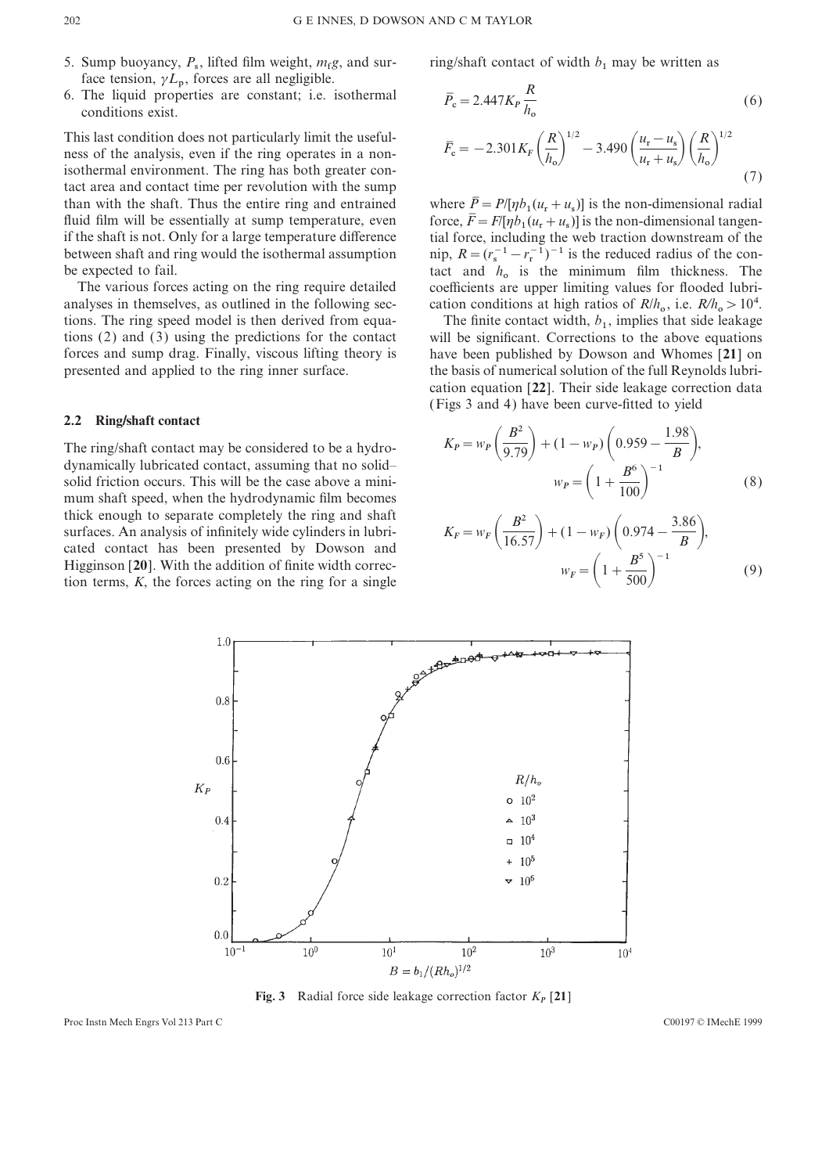- 5. Sump buoyancy, *P*, lifted film weight, *m*
- face tension,  $\gamma L_p$ , forces are all negligible.<br>The liquid properties are constant; i.e. 6. The liquid properties are constant; i.e. isothermal  $\overline{P}_c = 2.447 K_P \frac{R}{h_o}$  (6) conditions exist.

This last condition does not particularly limit the usefulness of the analysis, even if the ring operates in a nonisothermal environment. The ring has both greater contact area and contact time per revolution with the sump than with the shaft. Thus the entire ring and entrained fluid film will be essentially at sump temperature, even if the shaft is not. Only for a large temperature difference if the shaft is not. Only for a large temperature difference tial force, including the web traction downstream of the be expected to fail.

analyses in themselves, as outlined in the following sections. The ring speed model is then derived from equa-

## **2.2 Ring/shaft contact**

The ring/shaft contact may be considered to be a hydrodynamically lubricated contact, assuming that no solid– solid friction occurs. This will be the case above a minimum shaft speed, when the hydrodynamic film becomes thick enough to separate completely the ring and shaft surfaces. An analysis of infinitely wide cylinders in lubricated contact has been presented by Dowson and Higginson [20]. With the addition of finite width correction terms,  $K$ , the forces acting on the ring for a single

*g*, and sur-<br>
ring/shaft contact of width  $b_1$  may be written as

$$
\bar{P}_{\rm c} = 2.447 K_P \frac{R}{h_{\rm o}} \tag{6}
$$
\n
$$
\bar{F}_{\rm c} = -2.301 K_F \left(\frac{R}{h_{\rm o}}\right)^{1/2} - 3.490 \left(\frac{u_{\rm r} - u_{\rm s}}{u_{\rm r} + u_{\rm s}}\right) \left(\frac{R}{h_{\rm o}}\right)^{1/2} \tag{7}
$$

 $(u_r + u_s)$  is the non-dimensional tangen- $(u_{\rm r} + u_{\rm s})$ ] is the non-dimensional radial between shaft and ring would the isothermal assumption nip,  $R = (r_s^{-1} - r_r^{-1})^{-1}$  is the reduced radius of the con-<br>be expected to fail.<br>The various forces acting on the ring require detailed coefficients are upper limiting expected to fail.<br>
The various forces acting on the ring require detailed coefficients are upper limiting values for flooded lubri-, i.e. *<sup>R</sup>*/*<sup>h</sup>* <sup>&</sup>gt;104.

, implies that side leakage tions (2) and (3) using the predictions for the contact will be significant. Corrections to the above equations forces and sump drag. Finally, viscous lifting theory is have been published by Dowson and Whomes [**21**] on presented and applied to the ring inner surface. the basis of numerical solution of the full Reynolds lubrication equation [**22**]. Their side leakage correction data (Figs 3 and 4) have been curve-fitted to yield

$$
K_P = w_P \left(\frac{B^2}{9.79}\right) + (1 - w_P) \left(0.959 - \frac{1.98}{B}\right),
$$
  

$$
w_P = \left(1 + \frac{B^6}{100}\right)^{-1}
$$
 (8)

$$
K_F = w_F \left(\frac{B^2}{16.57}\right) + (1 - w_F) \left(0.974 - \frac{3.86}{B}\right),
$$
  

$$
w_F = \left(1 + \frac{B^5}{500}\right)^{-1}
$$
 (9)



**Fig. 3** Radial force side leakage correction factor  $K_P$  [21]

Proc Instn Mech Engrs Vol 213 Part C C00197 © IMechE 1999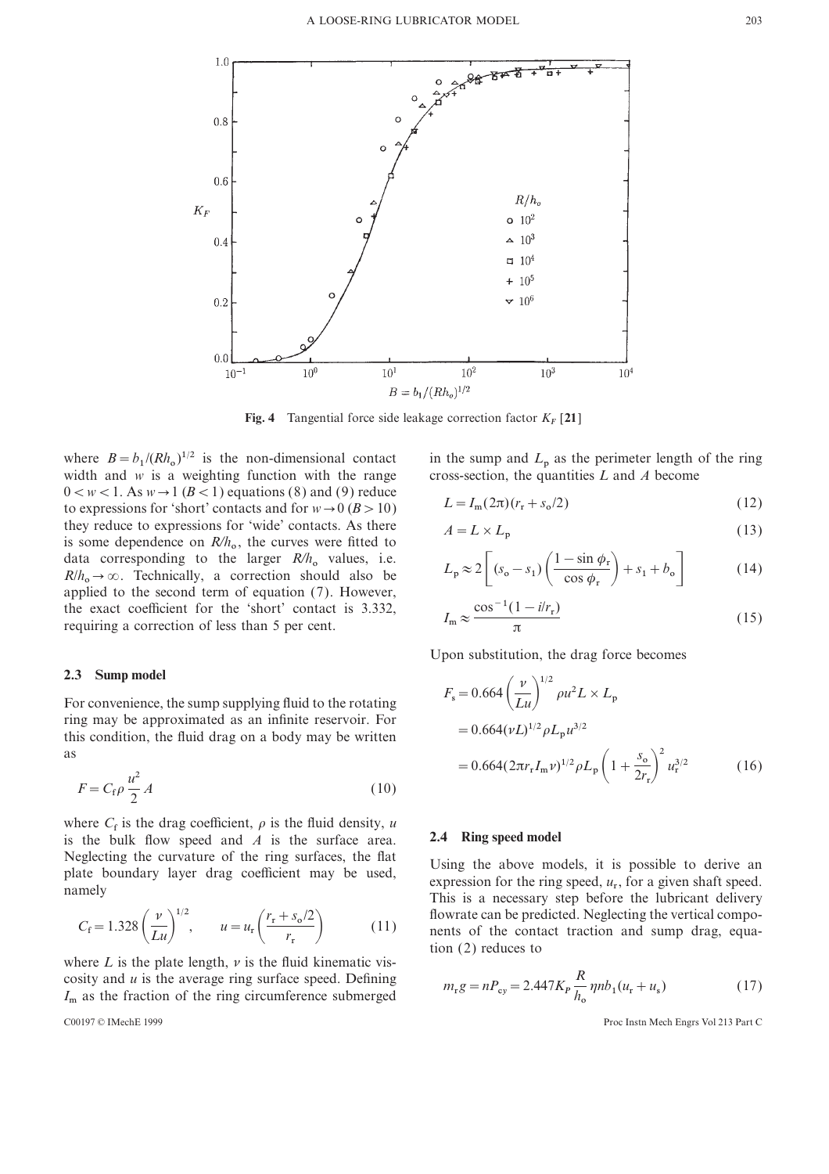

**Fig. 4** Tangential force side leakage correction factor  $K_F$  [21]

where  $B = b_1/(Rh)$ width and *w* is a weighting function with the range cross-section, the quantities  $L$  and  $A$  become  $0 \lt w \lt 1$ . As  $w \rightarrow 1$  ( $B \lt 1$ ) equations (8) and (9) reduce to expressions for 'short' contacts and for  $w \rightarrow 0$  ( $B > 10$ ) they reduce to expressions for 'wide' contacts. As there they reduce to expressions for wide contacts. As there  $A = L \times L_p$  (13)<br>is some dependence on  $R/h_o$ , the curves were fitted to  $A = L \times L_p$  (1–sin  $\phi$ ) (1–sin  $\phi$ ) (1–sin  $\phi$ ) data corresponding to the larger  $R/h$ <br> $R/h \rightarrow \infty$  Technically a correction sh data corresponding to the larger  $R/h_o$  values, i.e.  $R/h_o \to \infty$ . Technically, a correction should also be  $R/h_o \to \infty$ . Technically, a correction should also be applied to the second term of equation (7). However, applied to the second term of equation (7). However, the exact coefficient for the 'short' contact is 3.332, requiring a correction of less than 5 per cent.

## **2.3 Sump model**

For convenience, the sump supplying fluid to the rotating ring may be approximated as an infinite reservoir. For ring may be approximated as an infinite reservoir. For this condition, the fluid drag on a body may be written  $=0.664(\nu L)^{1/2} \rho L_{\rm p}$ this condition, the fluid drag on a body may be written as  $=0.664(2\pi r)$ 

$$
F = C_f \rho \frac{u^2}{2} A \tag{10}
$$

where  $C_f$  is the drag coefficient,  $\rho$  is the fluid density, *u* is the bulk flow speed and *A* is the surface area. is the bulk flow speed and  $\vec{A}$  is the surface area. **2.4 Ring speed model** Neglecting the curvature of the ring surfaces, the flat Using the above models, it is possible to derive an plate boundary layer drag coefficient may be used, expression for the ring speed,  $u_r$ , for a given shaft speed.<br>

$$
C_{\rm f} = 1.328 \left(\frac{v}{Lu}\right)^{1/2}, \qquad u = u_{\rm r} \left(\frac{r_{\rm r} + s_{\rm o}/2}{r_{\rm r}}\right)
$$
 (11)

where  $L$  is the plate length,  $\nu$  is the fluid kinematic viscosity and *u* is the average ring surface speed. Defining COSITY and *u* is the average ring surface speed. Defining  $m_r g = n P_{cy} = 2.447 K_P \frac{m}{h_o} \eta n b_1 (u_r + u_s)$  (17)<br>  $I_m$  as the fraction of the ring circumference submerged  $m_r g = n P_{cy} = 2.447 K_P \frac{m}{h_o} \eta n b_1 (u_r + u_s)$  (17)

$$
C00197 \odot IMechE 1999
$$

in the sump and  $L_p$  as the perimeter length of the ring cross-section, the quantities  $L$  and  $A$  become

$$
L = I_{\rm m}(2\pi)(r_{\rm r} + s_{\rm o}/2)
$$
\n(12)

$$
A = L \times L_{\rm p} \tag{13}
$$

$$
L_{\rm p} \approx 2 \left[ (s_{\rm o} - s_1) \left( \frac{1 - \sin \phi_{\rm r}}{\cos \phi_{\rm r}} \right) + s_1 + b_{\rm o} \right]
$$
 (14)

$$
I_{\rm m} \approx \frac{\cos^{-1}(1 - i/r_{\rm r})}{\pi} \tag{15}
$$

Upon substitution, the drag force becomes

$$
F_{\rm s} = 0.664 \left(\frac{\nu}{Lu}\right)^{1/2} \rho u^2 L \times L_{\rm p}
$$
  
= 0.664 $(\nu L)^{1/2} \rho L_{\rm p} u^{3/2}$   
= 0.664 $(2\pi r_{\rm r} I_{\rm m} \nu)^{1/2} \rho L_{\rm p} \left(1 + \frac{s_{\rm o}}{2r_{\rm r}}\right)^2 u_{\rm r}^{3/2}$  (16)

place boundary layer drag coefficient may be used, expression for the ring speed,  $u_r$ , for a given shaft speed.<br>This is a necessary step before the lubricant delivery flowrate can be predicted. Neglecting the vertical components of the contact traction and sump drag, equation (2) reduces to

$$
m_{\rm r}g = nP_{\rm cy} = 2.447K_P \frac{R}{h_{\rm o}} \eta n b_1 (u_{\rm r} + u_{\rm s}) \tag{17}
$$

Proc Instn Mech Engrs Vol 213 Part C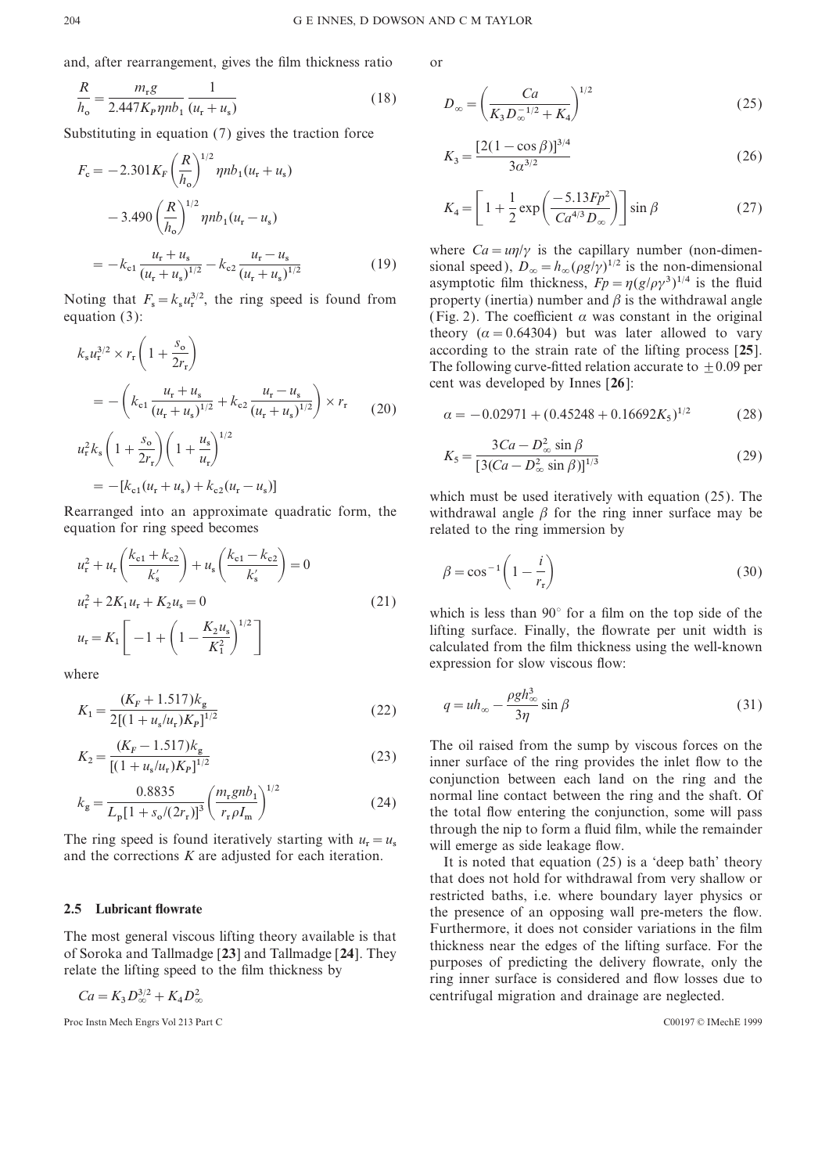and, after rearrangement, gives the film thickness ratio or

$$
\frac{R}{h_o} = \frac{m_r g}{2.447 K_p \eta n b_1} \frac{1}{(u_r + u_s)}
$$
\n(18) 
$$
D_{\infty} = \left(\frac{Ca}{K_3 D_{\infty}^{-1/2}}\right)
$$
\nSubstituting in equation (7) gives the traction force

$$
F_c = -2.301 K_F \left(\frac{R}{h_o}\right)^{1/2} \eta n b_1 (u_r + u_s)
$$
\n
$$
-3.490 \left(\frac{R}{h_o}\right)^{1/2} \eta n b_1 (u_r - u_s)
$$
\n
$$
= -k_{c1} \frac{u_r + u_s}{(u_r + u_s)^{1/2}} - k_{c2} \frac{u_r - u_s}{(u_r + u_s)^{1/2}}
$$
\n(19) where  $Ca = \frac{u_l}{\gamma}$  is the capillary number (non-dimensional asymptotic film thickness,  $Fp = \eta (g/\rho \gamma^3)^{1/4}$  is the fluid

Noting that  $F_s = k_s u_r^{3/2}$ , the ring sp equation (3): (Fig. 2). The coefficient  $\alpha$  was constant in the original

$$
k_{s}u_{r}^{3/2} \times r_{r}\left(1+\frac{s_{o}}{2r_{r}}\right)
$$
\n
$$
= -\left(k_{c1}\frac{u_{r}+u_{s}}{(u_{r}+u_{s})^{1/2}}+k_{c2}\frac{u_{r}-u_{s}}{(u_{r}+u_{s})^{1/2}}\right) \times r_{r}
$$
\n
$$
u_{r}^{2}k_{s}\left(1+\frac{s_{o}}{2r_{r}}\right)\left(1+\frac{u_{s}}{u_{r}}\right)^{1/2}
$$
\n
$$
= -[k_{c1}(u_{r}+u_{s})+k_{c2}(u_{r}-u_{s})]
$$
\n
$$
= -i_{c1}(u_{r}+u_{s})+i_{c2}(u_{r}-u_{s})
$$
\n
$$
= -i_{c1}(u_{r}+u_{s})+i_{c2}(u_{r}-u_{s})
$$
\n
$$
= -i_{c2}(u_{r}+u_{s})+i_{c2}(u_{r}-u_{s})
$$
\n
$$
= -i_{c1}(u_{r}+u_{s})+i_{c2}(u_{r}-u_{s})
$$
\n
$$
= -i_{c2}(u_{r}+u_{s})+i_{c2}(u_{r}-u_{s})
$$
\n
$$
= -i_{c1}(u_{r}+u_{s})+i_{c2}(u_{r}-u_{s})
$$
\n
$$
= -i_{c2}(u_{r}+u_{s})+i_{c2}(u_{r}-u_{s})
$$
\n
$$
= -i_{c1}(u_{r}+u_{s})+i_{c2}(u_{r}-u_{s})
$$
\n
$$
= -i_{c1}(u_{r}+u_{s})+i_{c2}(u_{r}-u_{s})
$$
\n
$$
= -i_{c1}(u_{r}+u_{s})+i_{c2}(u_{r}-u_{s})
$$
\n
$$
= -i_{c1}(u_{r}+u_{s})+i_{c2}(u_{r}-u_{s})
$$
\n
$$
= -i_{c1}(u_{r}+u_{s})+i_{c2}(u_{r}-u_{s})
$$
\n
$$
= -i_{c1}(u_{r}+u_{s})+i_{c2}(u_{r}-u_{s})
$$
\n
$$
= -i_{c1}(
$$

$$
u_{\rm r}^{2} + u_{\rm r} \left( \frac{k_{\rm c1} + k_{\rm c2}}{k'_{\rm s}} \right) + u_{\rm s} \left( \frac{k_{\rm c1} - k_{\rm c2}}{k'_{\rm s}} \right) = 0
$$
\n
$$
u_{\rm r}^{2} + 2K_{1}u_{\rm r} + K_{2}u_{\rm s} = 0
$$
\n
$$
u_{\rm r} = K_{1} \left[ -1 + \left( 1 - \frac{K_{2}u_{\rm s}}{K_{1}^{2}} \right)^{1/2} \right]
$$
\nwhere\n
$$
u_{\rm r} = \left[ -1 + \left( 1 - \frac{K_{2}u_{\rm s}}{K_{1}^{2}} \right)^{1/2} \right]
$$
\nwhere\n
$$
u_{\rm r} = \left[ \frac{K_{2}u_{\rm s}}{K_{1}^{2}} \right]
$$
\nwhere\n
$$
u_{\rm r} = \left[ \frac{K_{2}u_{\rm s}}{K_{1}^{2}} \right]
$$
\n
$$
u_{\rm r} = \left[ \frac{K_{2}u_{\rm s}}{K_{1}^{2}} \right]
$$
\n
$$
u_{\rm r} = \left[ \frac{K_{2}u_{\rm s}}{K_{1}^{2}} \right]
$$
\n
$$
u_{\rm r} = \left[ \frac{K_{2}u_{\rm s}}{K_{1}^{2}} \right]
$$
\n
$$
u_{\rm r} = \left[ \frac{K_{2}u_{\rm s}}{K_{1}^{2}} \right]
$$
\n
$$
u_{\rm r} = \left[ \frac{K_{2}u_{\rm s}}{K_{1}^{2}} \right]
$$
\n
$$
u_{\rm r} = \left[ \frac{K_{2}u_{\rm s}}{K_{1}^{2}} \right]
$$
\n
$$
u_{\rm r} = \left[ \frac{K_{2}u_{\rm s}}{K_{1}^{2}} \right]
$$
\n
$$
u_{\rm r} = \left[ \frac{K_{2}u_{\rm s}}{K_{1}^{2}} \right]
$$
\n
$$
u_{\rm r} = \left[ \frac{K_{2}u_{\rm s}}{K_{1}^{2}} \right]
$$
\n
$$
u_{\rm r} = \left[ \frac
$$

$$
K_1 = \frac{(K_F + 1.517)k_g}{2[(1 + u_s/u_r)K_P]^{1/2}}
$$
\n(22) 
$$
q = uh_\infty - \frac{\rho g n_\infty^2}{3\eta} \sin \beta
$$
\n(31)

$$
K_2 = \frac{(K_F - 1.517)k_g}{[(1 + u_s/u_r)K_p]^{1/2}}
$$
\n(23)

$$
k_{\rm g} = \frac{0.8835}{L_{\rm p}[1 + s_{\rm o}/(2r_{\rm r})]^3} \left(\frac{m_{\rm r} g n b_1}{r_{\rm r} \rho I_{\rm m}}\right)^{1/2} \tag{24}
$$

and the corrections  $K$  are adjusted for each iteration.

 $D_\infty^{3/2} + K_4 D_\infty^2$ <br>b Engrs Vol 213 Bs

3 Proc Instn Mech Engrs Vol 213 Part C C00197 © IMechE 1999

$$
D_{\infty} = \left(\frac{Ca}{K_3 D_{\infty}^{-1/2} + K_4}\right)^{1/2}
$$
 (25)

$$
K_3 = \frac{[2(1 - \cos \beta)]^{3/4}}{3\alpha^{3/2}}
$$
 (26)

$$
K_4 = \left[1 + \frac{1}{2} \exp\left(\frac{-5.13 F p^2}{C a^{4/3} D_\infty}\right)\right] \sin \beta \tag{27}
$$

where  $Ca = \frac{u\eta}{\gamma}$  is the capillary number (non-dimen-<sup>1/2</sup> (19) sional speed),  $D_{\infty} = h_{\infty}(\rho g/\gamma)^{1/2}$  is the non-dimensional asymptotic film thickness,  $Fp = \eta (g/\rho \gamma^3)^{1/4}$  is the fluid asymptotic film thickness,  $F_p = \eta (g/\rho \gamma^3)^{1/4}$  is the fluid property (inertia) number and  $\beta$  is the withdrawal angle theory ( $\alpha = 0.64304$ ) but was later allowed to vary *k* according to the strain rate of the lifting process [**25**]. The following curve-fitted relation accurate to  $+0.09$  per cent was developed by Innes [**26**]:

$$
\alpha = -0.02971 + (0.45248 + 0.16692K_5)^{1/2} \tag{28}
$$

$$
K_5 = \frac{3Ca - D_{\infty}^2 \sin \beta}{[3(Ca - D_{\infty}^2 \sin \beta)]^{1/3}}
$$
(29)

which must be used iteratively with equation  $(25)$ . The Rearranged into an approximate quadratic form, the withdrawal angle  $\beta$  for the ring inner surface may be related to the ring immersion by related to the ring immersion by

$$
\beta = \cos^{-1}\left(1 - \frac{i}{r_r}\right) \tag{30}
$$

(21) which is less than 90 $^{\circ}$  for a film on the top side of the lifting surface. Finally, the flowrate per unit width is calculated from the film thickness using the well-known

$$
q = uh_{\infty} - \frac{\rho g h_{\infty}^3}{3\eta} \sin \beta
$$
 (31)

The oil raised from the sump by viscous forces on the *inner* surface of the *ring provides* the *inlet flow to the*  $\frac{1}{1^{1/2}}$  (23) inner surface of the ring provides the inlet flow to the conjunction between each land on the ring and the normal line contact between the ring and the shaft. Of *<sup>k</sup>*  $k_{\rm g} = \frac{1}{L_{\rm p} [1 + s_o/(2r_{\rm r})]^3} \left( \frac{1.6 \text{ m}}{r_{\rm r} \rho I_{\rm m}} \right)$  (24) the total flow entering the conjunction, some will pass<br>through the nip to form a fluid film, while the remainder<br>will emerge as side leakage flow the total flow entering the conjunction, some will pass will emerge as side leakage flow.<br>It is noted that equation (25) is a 'deep bath' theory

that does not hold for withdrawal from very shallow or restricted baths, i.e. where boundary layer physics or **2.5 Lubricant flowrate** the presence of an opposing wall pre-meters the flow. The most general viscous lifting theory available is that<br>of Soroka and Tallmadge [23] and Tallmadge [24]. They<br>relate the lifting speed to the film thickness by<br>relate the lifting speed to the film thickness by<br>relate is centrifugal migration and drainage are neglected.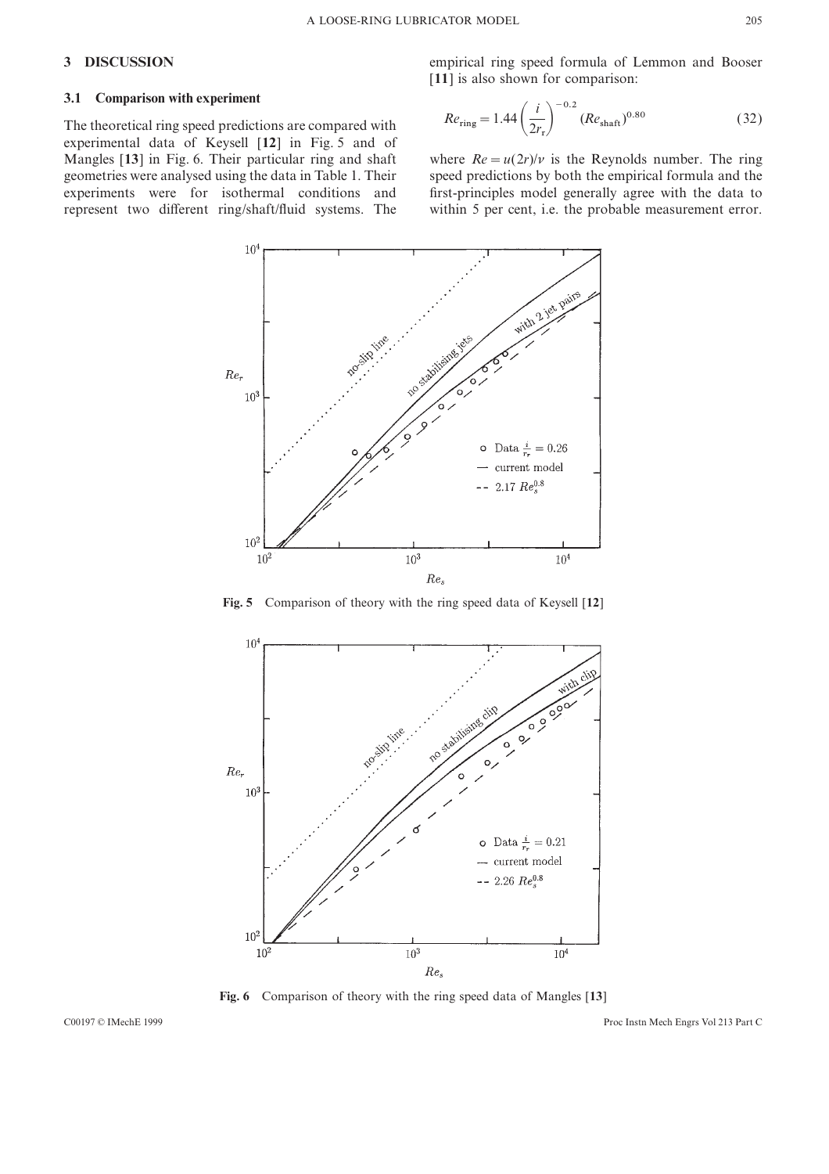# **3.1 Comparison with experiment**

The theoretical ring speed predictions are compared with experimental data of Keysell [**12**] in Fig. 5 and of

**3 DISCUSSION** empirical ring speed formula of Lemmon and Booser [11] is also shown for comparison:

$$
Re_{\rm ring} = 1.44 \left(\frac{i}{2r_{\rm r}}\right)^{-0.2} (Re_{\rm shatt})^{0.80} \tag{32}
$$

Mangles [13] in Fig. 6. Their particular ring and shaft where  $Re = u(2r)/v$  is the Reynolds number. The ring geometries were analysed using the data in Table 1. Their speed predictions by both the empirical formula and the geometries were analysed using the data in Table 1. Their speed predictions by both the empirical formula and the experiments were for isothermal conditions and first-principles model generally agree with the data to represent two different ring/shaft/fluid systems. The within 5 per cent, i.e. the probable measurement error.



**Fig. 5** Comparison of theory with the ring speed data of Keysell [**12**]



**Fig. 6** Comparison of theory with the ring speed data of Mangles [**13**]

C00197 © IMechE 1999 Proc Instn Mech Engrs Vol 213 Part C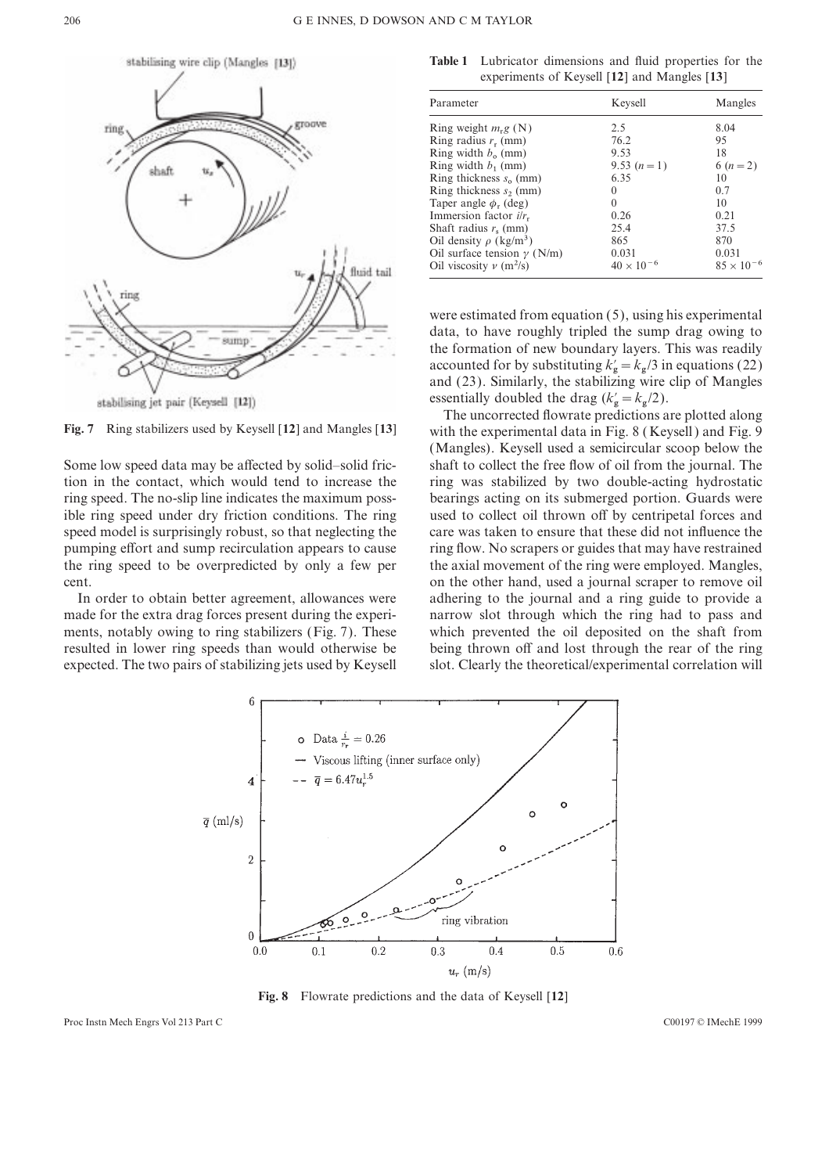

**Table 1** Lubricator dimensions and fluid properties for the experiments of Keysell [**12**] and Mangles [**13**]

| Parameter                               | Keysell             | Mangles             |
|-----------------------------------------|---------------------|---------------------|
| Ring weight $m_{\rm r}g$ (N)            | 2.5                 | 8.04                |
| Ring radius $r_r$ (mm)                  | 76.2                | 95                  |
| Ring width $b_0$ (mm)                   | 9.53                | 18                  |
| Ring width $b_1$ (mm)                   | 9.53 $(n=1)$        | 6 $(n = 2)$         |
| Ring thickness $s_0$ (mm)               | 6.35                | 10                  |
| Ring thickness $s_2$ (mm)               | $\Omega$            | 0.7                 |
| Taper angle $\phi_r$ (deg)              | $\Omega$            | 10                  |
| Immersion factor $i/r_r$                | 0.26                | 0.21                |
| Shaft radius $r_s$ (mm)                 | 25.4                | 37.5                |
| Oil density $\rho$ (kg/m <sup>3</sup> ) | 865                 | 870                 |
| Oil surface tension $\gamma$ (N/m)      | 0.031               | 0.031               |
| Oil viscosity $\nu$ (m <sup>2</sup> /s) | $40 \times 10^{-6}$ | $85 \times 10^{-6}$ |

were estimated from equation (5), using his experimental data, to have roughly tripled the sump drag owing to the formation of new boundary layers. This was readily accounted for by substituting  $k'_{\rm g} = k_{\rm g}/3$  in equations (22) and (23). Similarly, the stabilizing wire clip of Mangles and (23). Similarly, the stabilizing wire<br>essentially doubled the drag ( $k'_{\rm g} = k_{\rm g}/2$ ).

The uncorrected flowrate predictions are plotted along **Fig. 7** Ring stabilizers used by Keysell [**12**] and Mangles [**13**] with the experimental data in Fig. 8 ( Keysell ) and Fig. 9 (Mangles). Keysell used a semicircular scoop below the Some low speed data may be affected by solid–solid fric- shaft to collect the free flow of oil from the journal. The tion in the contact, which would tend to increase the ring was stabilized by two double-acting hydrostatic ring speed. The no-slip line indicates the maximum poss- bearings acting on its submerged portion. Guards were ible ring speed under dry friction conditions. The ring used to collect oil thrown off by centripetal forces and speed model is surprisingly robust, so that neglecting the care was taken to ensure that these did not influence the pumping effort and sump recirculation appears to cause ring flow. No scrapers or guides that may have restrained the ring speed to be overpredicted by only a few per the axial movement of the ring were employed. Mangles, cent. on the other hand, used a journal scraper to remove oil In order to obtain better agreement, allowances were adhering to the journal and a ring guide to provide a made for the extra drag forces present during the experi- narrow slot through which the ring had to pass and ments, notably owing to ring stabilizers (Fig. 7). These which prevented the oil deposited on the shaft from resulted in lower ring speeds than would otherwise be being thrown off and lost through the rear of the ring expected. The two pairs of stabilizing jets used by Keysell slot. Clearly the theoretical/experimental correlation will



**Fig. 8** Flowrate predictions and the data of Keysell [**12**]

Proc Instn Mech Engrs Vol 213 Part C C00197 © IMechE 1999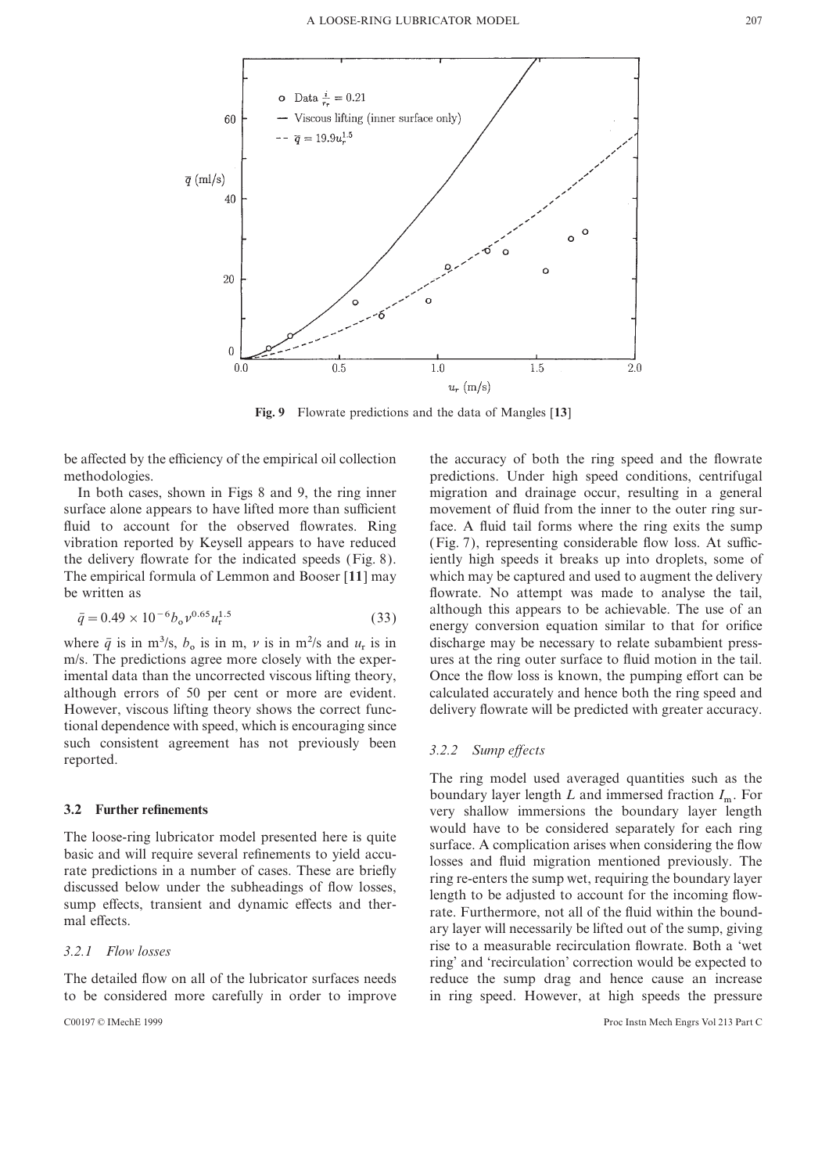

**Fig. 9** Flowrate predictions and the data of Mangles [**13**]

be affected by the efficiency of the empirical oil collection the accuracy of both the ring speed and the flowrate

surface alone appears to have lifted more than sufficient movement of fluid from the inner to the outer ring surfluid to account for the observed flowrates. Ring face. A fluid tail forms where the ring exits the sump vibration reported by Keysell appears to have reduced (Fig. 7), representing considerable flow loss. At suffic-The empirical formula of Lemmon and Booser [**11**] may which may be captured and used to augment the delivery be written as flowrate. No attempt was made to analyse the tail,

$$
\bar{q} = 0.49 \times 10^{-6} b_{\rm o} v^{0.65} u_{\rm r}^{1.5} \tag{33}
$$

where  $\bar{q}$  is in m<sup>3</sup>/s,  $b_0$  is in m,  $\nu$  is in m<sup>2</sup>/s and  $u_r$  is in where  $\bar{q}$  is in m<sup>3</sup>/s,  $b_o$  is in m,  $\nu$  is in m<sup>2</sup>/s and  $u_r$  is in discharge may be necessary to relate subambient press-<br>m/s. The predictions agree more closely with the exper- ures at the ring outer surface to f m/s. The predictions agree more closely with the experimental data than the uncorrected viscous lifting theory, although errors of 50 per cent or more are evident. calculated accurately and hence both the ring speed and However, viscous lifting theory shows the correct func- delivery flowrate will be predicted with greater accuracy. tional dependence with speed, which is encouraging since such consistent agreement has not previously been *3.2.2 Sump effects* reported.

to be considered more carefully in order to improve in ring speed. However, at high speeds the pressure

methodologies. predictions. Under high speed conditions, centrifugal In both cases, shown in Figs 8 and 9, the ring inner migration and drainage occur, resulting in a general the delivery flowrate for the indicated speeds (Fig. 8). iently high speeds it breaks up into droplets, some of written as<br>  $\bar{q} = 0.49 \times 10^{-6} b_o v^{0.65} u_i^{1.5}$  (33) although this appears to be achievable. The use of an<br>
nergy conversion equation similar to that for orifice<br>
discharge may be necessary to relate subambient press-<br> Once the flow loss is known, the pumping effort can be

The ring model used averaged quantities such as the boundary layer length *L* and immersed fraction *I*<sub>m</sub>. For very shallow immersions the boundary layer length **3.2 Further refinements** very shallow immersions the boundary layer length The loose-ring lubricator model presented here is quite<br>basic and will require several refinements to yield accu-<br>rate predictions in a number of cases. These are briefly<br>discussed below under the subheadings of flow losse rise to a measurable recirculation flowrate. Both a 'wet *3.2.1 Flow losses* ring' and 'recirculation' correction would be expected to The detailed flow on all of the lubricator surfaces needs reduce the sump drag and hence cause an increase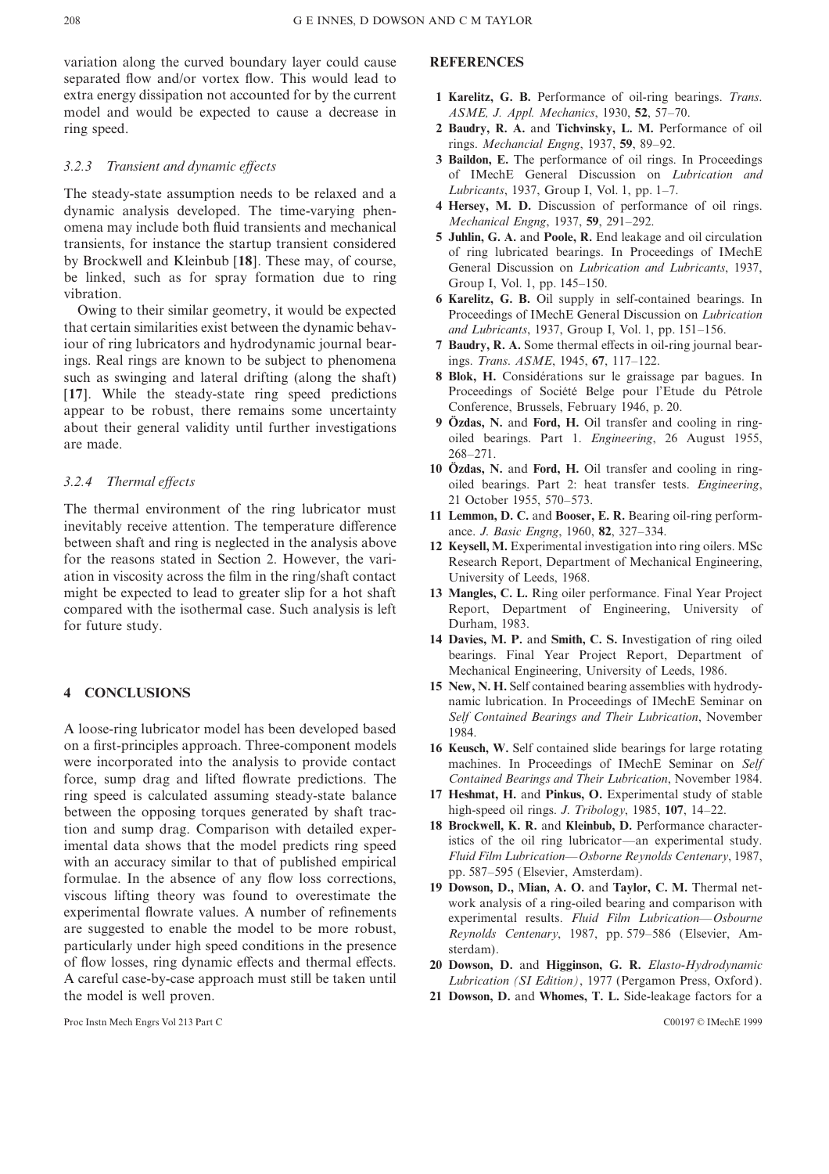variation along the curved boundary layer could cause **REFERENCES** separated flow and/or vortex flow. This would lead to extra energy dissipation not accounted for by the current **1 Karelitz, G. B.** Performance of oil-ring bearings. *Trans*. model and would be expected to cause a decrease in *ASME, J. Appl. Mechanics*, 1930, **52**, 57–70. ring speed. **2 Baudry, R. A.** and **Tichvinsky, L. M.** Performance of oil

The steady-state assumption needs to be relaxed and a *Lubricants*, 1937, Group I, Vol. 1, pp. 1–7.<br>dynamic analysis developed. The time-varying phen. 4 Hersey, M. D. Discussion of performance of oil rings. dynamic analysis developed. The time-varying phen-<br>
omena may include both fluid transients and mechanical<br>
transients, for instance the startup transient considered<br>
by Brockwell and Kleinbub [18]. These may, of course,<br>

that certain similarities exist between the dynamic behav-<br>iour of ring lubricators and hydrodynamic journal bear-<br>**7 Baudry, R. A.** Some thermal effects in oil-ring journa ings. Real rings are known to be subject to phenomena ings. *Trans*. *ASME*, 1945, **67**, 117–122. such as swinging and lateral drifting (along the shaft) **8 Blok, H.** Considérations sur le graissage par bagues. In<br>
1171 While the steady-state ring speed predictions Proceedings of Société Belge pour l'Etude du Pétrole [**17**]. While the steady-state ring speed predictions Proceedings of Societé Belge pour l'Etude appear to be robust there remains some uncertainty Conference, Brussels, February 1946, p. 20. appear to be robust, there remains some uncertainty<br>about their general validity until further investigations<br>are made.<br>The validity until further investigations<br>oiled bearings. Part 1. Engineering, 26 August 1955,<br>1955,

The thermal environment of the ring lubricator must<br>inevitably receive attention. The temperature difference<br>between shaft and ring is neglected in the analysis above<br>for the reasons stated in Section 2. However, the variation in viscosity across the film in the ring/shaft contact University of Leeds, 1968. might be expected to lead to greater slip for a hot shaft **13 Mangles, C. L.** Ring oiler performance. Final Year Project compared with the isothermal case. Such analysis is left Report, Department of Engineering, Universit compared with the isothermal case. Such analysis is left for future study. Durham, 1983.

A loose-ring lubricator model has been developed based 1984.<br>on a first-principles approach. Three-component models 16 Kense were incorporated into the analysis to provide contact machines. In Proceedings of IMechE Seminar on *Self* force, sump drag and lifted flowrate predictions. The *Contained Bearings and Their Lubrication*, November 1984. ring speed is calculated assuming steady-state balance **17 Heshmat, H.** and **Pinkus, O.** Experimental study of stable between the opposing torques generated by shaft trac- high-speed oil rings. *J*. *Tribology*, 1985, **107**, 14–22. tion and sump drag. Comparison with detailed exper-<br>imental data shows that the model predicts ring speed<br>with an accuracy similar to that of published empirical<br>formulae. In the absence of any flow loss corrections,<br>visco experimental rowtate values. A humber of remientents<br>are suggested to enable the model to be more robust,<br>particularly under high speed conditions in the presence<br>of flow losses, ring dynamic effects and thermal effects.<br> A careful case-by-case approach must still be taken until *Lubrication (SI Edition)*, 1977 (Pergamon Press, Oxford ). the model is well proven. **21 Dowson, D.** and **Whomes, T. L.** Side-leakage factors for a

Proc Instn Mech Engrs Vol 213 Part C C00197 © IMechE 1999

- 
- rings. *Mechancial Engng*, 1937, **59**, 89–92.
- **3 Baildon, E.** The performance of oil rings. In Proceedings *3.2.3 Transient and dynamic effects* of IMechE General Discussion on *Lubrication and*
	-
	-
	-
	- 7 Baudry, R. A. Some thermal effects in oil-ring journal bear-
	-
	- 268–271.
- 10 Özdas, N. and Ford, H. Oil transfer and cooling in ring-*3.2.4 Thermal effects* oiled bearings. Part 2: heat transfer tests. *Engineering*,
	-
	- Research Report, Department of Mechanical Engineering,
	-
	- **14 Davies, M. P.** and **Smith, C. S.** Investigation of ring oiled bearings. Final Year Project Report, Department of Mechanical Engineering, University of Leeds, 1986.
- **15 New, N. H.** Self contained bearing assemblies with hydrody-<br> **15 New, N. H.** Self contained bearing assemblies with hydrody-<br> **15 New, N. H.** Self contained bearing assemblies with hydrody-<br> **15 New, N. H.** Self contai *Self Contained Bearings and Their Lubrication*, November
	- 16 Keusch, W. Self contained slide bearings for large rotating
	-
	-
	-
	- of flow losses, ring dynamic effects and thermal effects. **20 Dowson, D.** and **Higginson, G. R.** *Elasto*-*Hydrodynamic*
	-